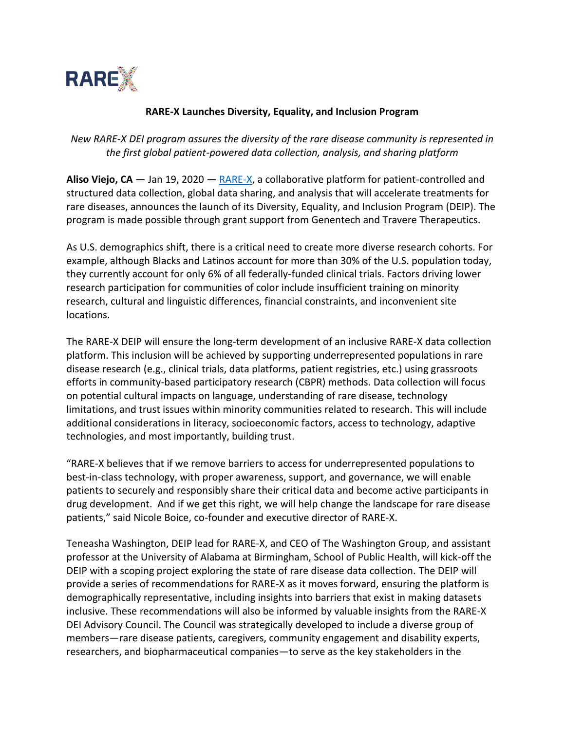

## **RARE-X Launches Diversity, Equality, and Inclusion Program**

*New RARE-X DEI program assures the diversity of the rare disease community is represented in the first global patient-powered data collection, analysis, and sharing platform*

**Aliso Viejo, CA** — Jan 19, 2020 — [RARE-X,](http://www.rare-x.org/) a collaborative platform for patient-controlled and structured data collection, global data sharing, and analysis that will accelerate treatments for rare diseases, announces the launch of its Diversity, Equality, and Inclusion Program (DEIP). The program is made possible through grant support from Genentech and Travere Therapeutics.

As U.S. demographics shift, there is a critical need to create more diverse research cohorts. For example, although Blacks and Latinos account for more than 30% of the U.S. population today, they currently account for only 6% of all federally-funded clinical trials. Factors driving lower research participation for communities of color include insufficient training on minority research, cultural and linguistic differences, financial constraints, and inconvenient site locations.

The RARE-X DEIP will ensure the long-term development of an inclusive RARE-X data collection platform. This inclusion will be achieved by supporting underrepresented populations in rare disease research (e.g., clinical trials, data platforms, patient registries, etc.) using grassroots efforts in community-based participatory research (CBPR) methods. Data collection will focus on potential cultural impacts on language, understanding of rare disease, technology limitations, and trust issues within minority communities related to research. This will include additional considerations in literacy, socioeconomic factors, access to technology, adaptive technologies, and most importantly, building trust.

"RARE-X believes that if we remove barriers to access for underrepresented populations to best-in-class technology, with proper awareness, support, and governance, we will enable patients to securely and responsibly share their critical data and become active participants in drug development. And if we get this right, we will help change the landscape for rare disease patients," said Nicole Boice, co-founder and executive director of RARE-X.

Teneasha Washington, DEIP lead for RARE-X, and CEO of The Washington Group, and assistant professor at the University of Alabama at Birmingham, School of Public Health, will kick-off the DEIP with a scoping project exploring the state of rare disease data collection. The DEIP will provide a series of recommendations for RARE-X as it moves forward, ensuring the platform is demographically representative, including insights into barriers that exist in making datasets inclusive. These recommendations will also be informed by valuable insights from the RARE-X DEI Advisory Council. The Council was strategically developed to include a diverse group of members—rare disease patients, caregivers, community engagement and disability experts, researchers, and biopharmaceutical companies—to serve as the key stakeholders in the